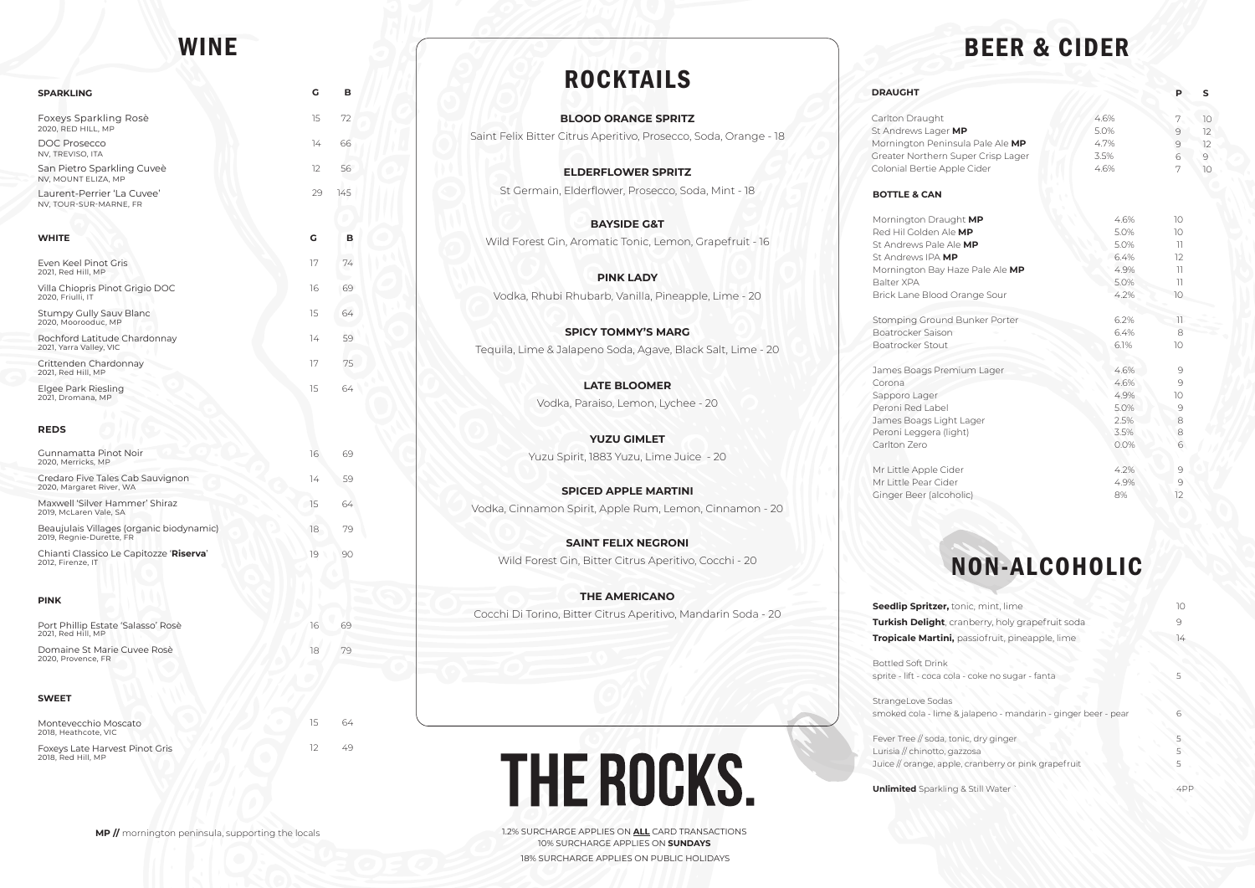1.2% SURCHARGE APPLIES ON **ALL** CARD TRANSACTIONS 10% SURCHARGE APPLIES ON **SUNDAYS** 18% SURCHARGE APPLIES ON PUBLIC HOLIDAYS

Carlton Draught **St Andrews Lage Mornington Peni** Greater Northern Colonial Bertie Ap

# BEER & CIDER

#### **DRAUGHT**

Stomping Groun Boatrocker Saison Boatrocker Stout

#### **BOTTLE & CAN**

**Mornington Drau Red Hil Golden A St Andrews Pale** St Andrews IPA **M** Mornington Bay Balter XPA Brick Lane Blood

James Boags Pre Corona Sapporo Lager Peroni Red Label James Boags Light Peroni Leggera (li Carlton Zero

Mr Little Apple Ci Mr Little Pear Cid Ginger Beer (alco

**Seedlip Spritzer, Turkish Delight, Tropicale Martin** 

**BLOOD ORANGE SPRITZ** Saint Felix Bitter Citrus Aperitivo, Prosecco, Soda, Orange - 18

**ELDERFLOWER SPRITZ** St Germain, Elderflower, Prosecco, Soda, Mint - 18

> Bottled Soft Drink sprite - lift - coca co

StrangeLove Sodas smoked cola - lime

Fever Tree // soda, Lurisia // chinotto, Juice // orange, app

**Unlimited** Sparkling

**BAYSIDE G&T**  Wild Forest Gin, Aromatic Tonic, Lemon, Grapefruit - 16

**PINK LADY** Vodka, Rhubi Rhubarb, Vanilla, Pineapple, Lime - 20

**SPICY TOMMY'S MARG** Tequila, Lime & Jalapeno Soda, Agave, Black Salt, Lime - 20

> **LATE BLOOMER** Vodka, Paraiso, Lemon, Lychee - 20

**YUZU GIMLET** Yuzu Spirit, 1883 Yuzu, Lime Juice - 20

**SPICED APPLE MARTINI** Vodka, Cinnamon Spirit, Apple Rum, Lemon, Cinnamon - 20

**SAINT FELIX NEGRONI** Wild Forest Gin, Bitter Citrus Aperitivo, Cocchi - 20

**THE AMERICANO** Cocchi Di Torino, Bitter Citrus Aperitivo, Mandarin Soda - 20

# **THE ROCKS.**

|                                                                     |                                                      | P                                                                                                              | S                         |
|---------------------------------------------------------------------|------------------------------------------------------|----------------------------------------------------------------------------------------------------------------|---------------------------|
| <b>MP</b><br>nsula Pale Ale MP<br>Super Crisp Lager<br>ople Cider   | 4.6%<br>5.0%<br>4.7%<br>3.5%<br>4.6%                 | 7<br>$\mathfrak{S}$<br>$\circ$<br>6<br>7                                                                       | 10<br>12<br>12<br>9<br>10 |
| ight MP<br>le MP<br>Ale MP<br>1P<br>Haze Pale Ale MP<br>Orange Sour | 4.6%<br>5.0%<br>5.0%<br>6.4%<br>4.9%<br>5.0%<br>4.2% | 10<br>10<br>$\overline{1}$<br>12<br>$\bar{\bf 1}$<br>$\left\vert \left\vert {}\right\vert \right\vert$<br>$10$ |                           |
| d Bunker Porter<br>h                                                | 6.2%<br>6.4%<br>6.1%                                 | 11<br>8<br>10                                                                                                  |                           |
| mium Lager<br>ht Lager<br>ight)                                     | 4.6%<br>4.6%<br>4.9%<br>5.0%<br>2.5%<br>3.5%<br>0.0% | 9<br>9<br>$10\,$<br>$\Theta$<br>8<br>8<br>$\mathsf{6}$                                                         |                           |
| der<br>er<br>holic)                                                 | 4.2%<br>4.9%<br>8%                                   | 9<br>$\Theta$<br>12                                                                                            |                           |

# NON-ALCOHOLIC

| tonic, mint, lime                                                 | 10     |
|-------------------------------------------------------------------|--------|
| cranberry, holy grapefruit soda                                   |        |
| i, passiofruit, pineapple, lime                                   | 14     |
|                                                                   |        |
| ola - coke no sugar - fanta                                       |        |
| S<br>e & jalapeno - mandarin - ginger beer - pear                 | 6      |
| tonic, dry ginger<br>gazzosa<br>ple, cranberry or pink grapefruit | 5<br>5 |
| ng & Still Water                                                  | 4F     |

| <b>SPARKLING</b>                                                     | G                 | в   |
|----------------------------------------------------------------------|-------------------|-----|
| Foxeys Sparkling Rosè<br>2020, RED HILL, MP                          | 15                | 72  |
| <b>DOC Prosecco</b><br>NV, TREVISO, ITA                              | 14                | 66  |
| San Pietro Sparkling Cuveè<br>NV, MOUNT ELIZA, MP                    | $12 \overline{ }$ | 56  |
| Laurent-Perrier 'La Cuvee'<br>NV, TOUR-SUR-MARNE, FR                 | 29                | 145 |
|                                                                      |                   |     |
| <b>WHITE</b>                                                         | G                 | в   |
| Even Keel Pinot Gris<br>2021, Red Hill, MP                           | 17                | 74  |
| Villa Chiopris Pinot Grigio DOC<br>2020, Friulli, IT                 | 16                | 69  |
| Stumpy Gully Sauv Blanc<br>2020, Moorooduc, MP                       | 15                | 64  |
| Rochford Latitude Chardonnay<br>2021, Yarra Valley, VIC              | 14                | 59  |
| Crittenden Chardonnay<br>2021, Red Hill, MP                          | 17                | 75  |
| Elgee Park Riesling<br>2021, Dromana, MP                             | 15                | 64  |
| <b>REDS</b>                                                          |                   |     |
| Gunnamatta Pinot Noir<br>2020, Merricks, MP                          | 16                | 69  |
| Credaro Five Tales Cab Sauvignon<br>2020, Margaret River, WA         | 14                | 59  |
| Maxwell 'Silver Hammer' Shiraz<br>2019, McLaren Vale, SA             | 15                | 64  |
| Beaujulais Villages (organic biodynamic)<br>2019, Regnie-Durette, FR | 18                | 79  |
| Chianti Classico Le Capitozze 'Riserva'<br>2012, Firenze, IT         | 19                | 90  |
|                                                                      |                   |     |
| <b>PINK</b>                                                          |                   |     |
| Port Phillip Estate 'Salasso' Rosè<br>2021, Red Hill, MP             | 16                | 69  |
| Domaine St Marie Cuvee Rosè<br>2020, Provence, FR                    | 18                | 79  |
|                                                                      |                   |     |
| <b>SWEET</b>                                                         |                   |     |
| Montevecchio Moscato<br>2018, Heathcote, VIC                         | 15                | 64  |
| Foxeys Late Harvest Pinot Gris<br>2018, Red Hill, MP                 | 12                | 49  |

# WINE



# ROCKTAILS